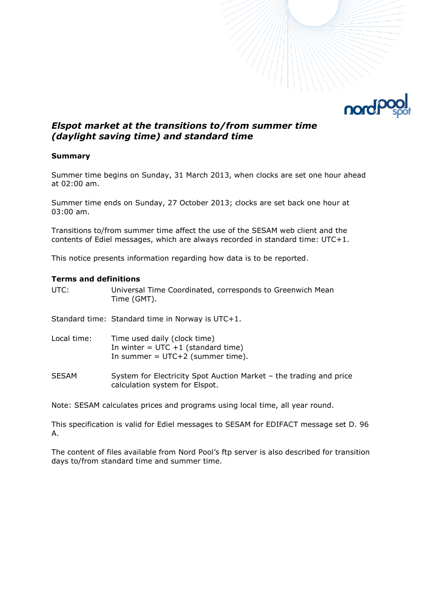

# *Elspot market at the transitions to/from summer time (daylight saving time) and standard time*

### **Summary**

Summer time begins on Sunday, 31 March 2013, when clocks are set one hour ahead at 02:00 am.

Summer time ends on Sunday, 27 October 2013; clocks are set back one hour at 03:00 am.

Transitions to/from summer time affect the use of the SESAM web client and the contents of Ediel messages, which are always recorded in standard time: UTC+1.

This notice presents information regarding how data is to be reported.

#### **Terms and definitions**

UTC: Universal Time Coordinated, corresponds to Greenwich Mean Time (GMT).

Standard time: Standard time in Norway is UTC+1.

| Local time: | Time used daily (clock time)           |
|-------------|----------------------------------------|
|             | In winter $=$ UTC $+1$ (standard time) |
|             | In summer = $UTC+2$ (summer time).     |

SESAM System for Electricity Spot Auction Market – the trading and price calculation system for Elspot.

Note: SESAM calculates prices and programs using local time, all year round.

This specification is valid for Ediel messages to SESAM for EDIFACT message set D. 96 A.

The content of files available from Nord Pool's ftp server is also described for transition days to/from standard time and summer time.